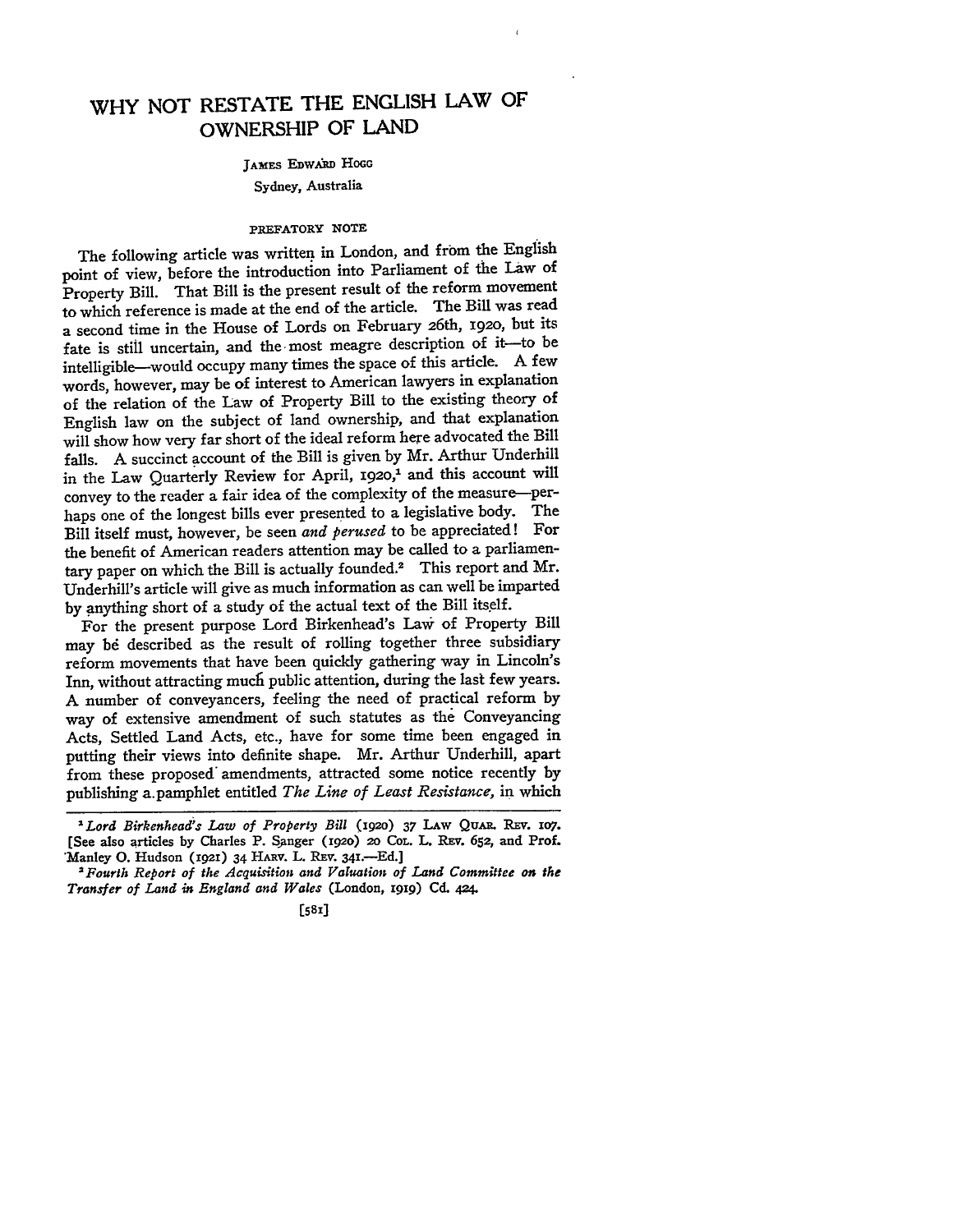## WHY **NOT** RESTATE THE **ENGLISH** LAW OF OWNERSHIP OF **LAND**

**JAMES EDWARD HOGG** 

Sydney, Australia

## **PREFATORY NOTE**

The following article was written in London, and from the English point of view, before the introduction into Parliament of the Law of Property Bill. That Bill is the present result of the reform movement to which reference is made at the end of the article. The Bill was read a second time in the House of Lords on February 26th, 192o, but its fate is still uncertain, and the most meagre description of it-to be intelligible--would occupy many times the space of this article. A few words, however, may be of interest to American lawyers in explanation of the relation of the Law of Property Bill to the existing theory of English law on the subject of land ownership, and that explanation will show how very far short of the ideal reform here advocated the Bill falls. A succinct account of the Bill is given **by** Mr. Arthur Underhill in the Law Quarterly Review for April, 1920,<sup>1</sup> and this account will convey to the reader a fair idea of the complexity of the measure-perhaps one of the longest bills ever presented to a legislative body. The Bill itself must, however, be seen *and perused* to be appreciated ! For the benefit of American readers attention may be called to a parliamentary paper on which the Bill is actually founded.2 This report and Mr. Underhill's article will give as much information as can well be imparted by anything short of a study of the actual text of the Bill itself.

For the present purpose Lord Birkenhead's Law of Property Bill may be described as the result of rolling together three subsidiary reform movements that have been quickly gathering way in Lincoln's Inn, without attracting mucfi public attention, during the last few years. A number of conveyancers, feeling the need of practical reform **by** way of extensive amendment of such statutes as the Conveyancing Acts, Settled Land Acts, etc., have for some time been engaged in putting their views into definite shape. Mr. Arthur Underhill, apart from these proposed' amendments, attracted some notice recently **by** publishing a.pamphlet entitled *The Line of Least Resistance,* in which

## **[581]**

*<sup>&#</sup>x27;Lord Birkenhead's Law of Property Bill* **(192o)** 37 LAw QuAR. **REv. iO7.** [See also articles **by** Charles P. Sanger **(192o) 2o COL.** L. **REv. 652,** and Prof. 'Manley **0.** Hudson **(92)** 34 HARv. L. **REv.** 34i.-Ed.]

*<sup>&#</sup>x27;Fourth Report of the Acquisition and Valuation of Land Committee on the Transfer of Land in England and Wales* (London, **i919) Cd. 424.**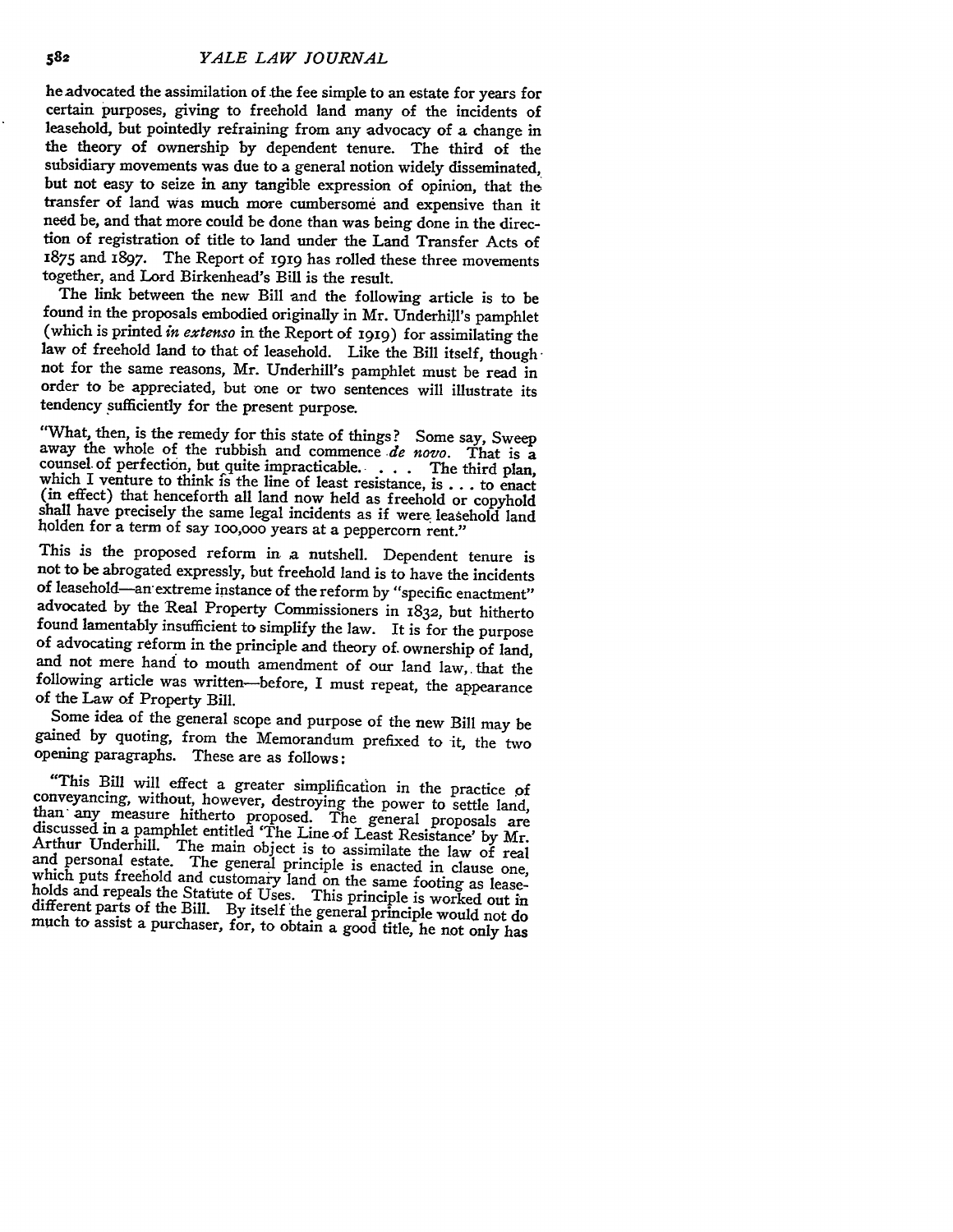he advocated the assimilation of the fee simple to an estate for years for certain purposes, giving to freehold land many of the incidents of leasehold, but pointedly refraining from any advocacy of a change in the theory of ownership **by** dependent tenure. The third of the but not easy to seize in any tangible expression of opinion, that the transfer of land was much more cumbersome and expensive than it need be, and that more could be done than was being done in the direction of registration of title to land under the Land Transfer Acts of 1875 and 1897. The Report of **i919** has rolled these three movements together, and Lord Birkenhead's Bill is the result.

The link between the new Bill and the following article is to be found in the proposals embodied originally in Mr. Underhill's pamphlet (which is printed *in extenso* in the Report of 1919) for assimilating the law of freehold land to that of leasehold. Like the Bill itself, though not order to be appreciated, but one or two sentences will illustrate its tendency sufficiently for the present purpose.

"What, then, is the remedy for this state of things? Some say, Sweep away the whole of the rubbish and commence *de novo*. That is a counsel of perfection, but quite impracticable..... The third plan, which I venture to t

This is the proposed reform in a nutshell. Dependent tenure is not to be abrogated expressly, but freehold land is to have the incidents of leasehold-an extreme instance of the reform **by** "specific enactment" advocated by the Real Property Commissioners in 1832, but hitherto found lamentably insufficient to simplify the law. It is for the purpose of advocating reform in the principle and theory of ownership of land, and not mere hand to mouth amendment of our land law, that the following article was written—before, I must repeat, the appearance of the Law of Proper

Some idea of the general scope and purpose of the new Bill may be gained **by** quoting, from the Memorandum prefixed to it, the two opening paragraphs. These are as follows:

"This Bill will effect a greater simplification in the practice of conveyancing, without, however, destroying the power to settle land, than ' any measure hitherto proposed. The general proposals are discussed in a pamphle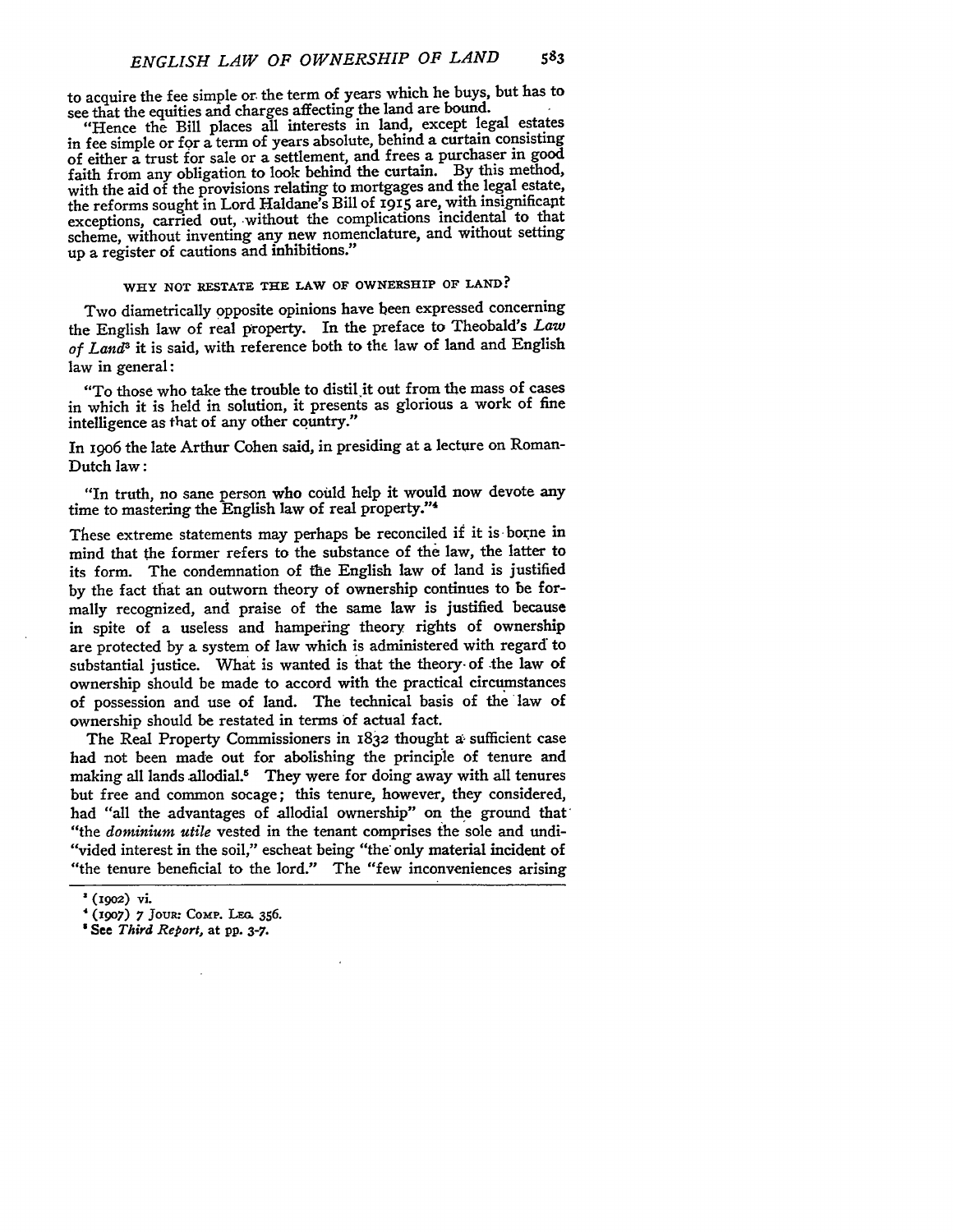to acquire the fee simple or. the term of years which he buys, but has to see that the equities and charges affecting the land are bound.

"Hence the Bill places all interests in land, except legal estates in fee simple or for a term of years absolute, behind a curtain consisting of either a trust for sale or a settlement, and frees a purchaser in good faith from any obligation to look behind the curtain. **By** this method, with the aid of the provisions relating to mortgages and the legal estate, the reforms sought in Lord Haldane's Bill of **1915** are, with insignificapt exceptions, carried out, .without the complications incidental to that scheme, without inventing any new nomenclature, and without setting up a register of cautions and inhibitions."

**WHY NOT RESTATE THE LAW OF OWNERSHIP OF LAND?**

Two diametrically opposite opinions have been expressed concerning the English law of real property. In the preface to Theobald's *Law of Land'* it is said, with reference both to the law of land and English law in general:

"To those who take the trouble to distil it out from the mass of cases in which it is held in solution, it presents as glorious a work of fine intelligence as that of any other country."

In 1906 the late Arthur Cohen said, in presiding at a lecture on Roman-Dutch law:

"In truth, no sane person who could help it would now devote any time to mastering the English law of real property."<sup>4</sup>

These extreme statements may perhaps be reconciled if it is borne in mind that the former refers to the substance of the law, the latter to its form. The condemnation of the English law of land is justified **by** the fact that an outworn theory of ownership continues to be formally recognized, and praise of the same law is justified because in spite of a useless and hampering theory rights of ownership are protected **by** a system of law which is administered with regard to substantial justice. What is wanted is that the theory of the law of ownership should be made to accord with the practical circumstances of possession and use of land. The technical basis of **the** law **of** ownership should be restated in terms of actual fact.

The Real Property Commissioners in **1832** thought a, sufficient case had not been made out for abolishing the principle of tenure and making all lands allodial.<sup>5</sup> They were for doing away with all tenures but free and common socage; this tenure, however, they considered, had "all the advantages of allodial ownership" on the ground that "the *dominium utile* vested in the tenant comprises the sole and undi- "vided interest in the soil," escheat being "the only material incident of "the tenure beneficial to the lord." The "few inconveniences arising

**<sup>(</sup>igo) vi.**

<sup>&</sup>lt;sup>4</sup> (1907) <sup>7</sup> JOUR: COMP. LEG. 356.

**<sup>&#</sup>x27;See** *Third Report,* **at pp. 3-7.**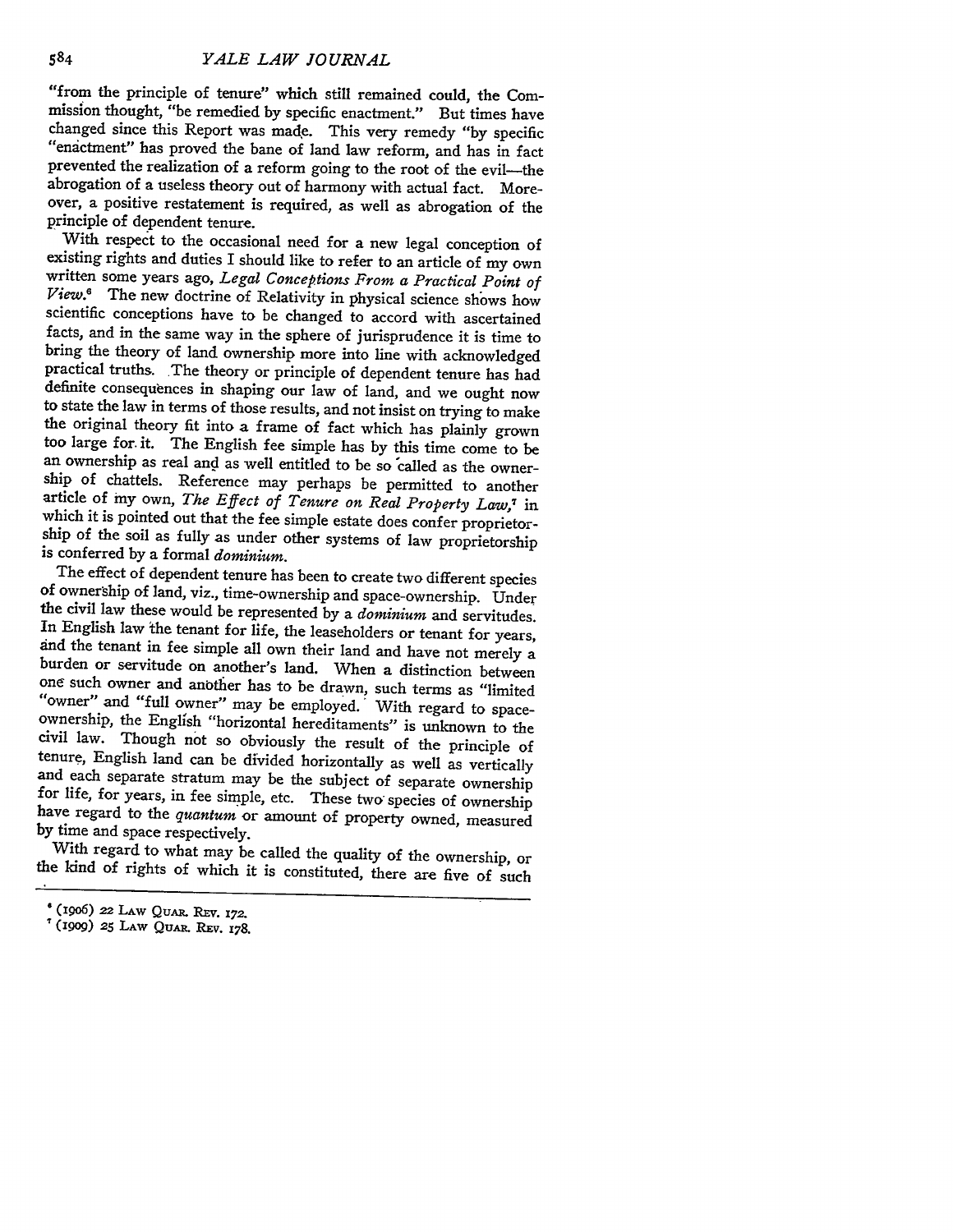"from the principle of tenure" which still remained could, the Com-<br>mission thought, "be remedied by specific enactment." But times have<br>changed since this Report was made. This very remedy "by specific "enactment" has proved the bane of land law reform, and has in fact<br>prevented the realization of a reform going to the root of the evil---the abrogation of a useless theory out of harmony with actual fact. Moreover, a positive restatement is required, as well as abrogation of the principle of dependent tenure.<br>With respect to the occasional need for a new legal conception of

existing rights and duties I should like to refer to an article of my own written some years ago, Legal Conceptions From a Practical Point of *View.*<sup>6</sup> The new doctrine of Relativity in physical science shows how scientific conceptions have to be changed to accord with ascertained facts, and in the same way in the sphere of jurisprudence it is time to bring the theory of land ownership more into line with acknowledged practical truths. The theory or principle of dependent tenure has had definite consequences in shaping our law of land, and we ought now to state the law in terms of those results, and not insist on trying to make the original theory fit into a frame of fact which has plainly grown too large for. it. The English fee simple has by this time come to be an ownership as real and as well entitled to be so called as the owner- ship of chattels. Reference may perhaps be permitted to another article of my own, *The Effect of Tenure on Real Property Law,7* in which it is pointed out that the fee simple estate does confer proprietor- ship of the soil as fully as under other systems of law proprietorship is conferred **by** a formal *dominium.*

of ownership of land, viz., time-ownership and space-ownership. Under the civil law these would be represented by a *dominium* and servitudes. In English law the tenant for life, the leaseholders or tenant for years, and the tenant in fee simple all own their land and have not merely a burden or servitude on another's land. When a distinction between "owner" and "full owner" may be employed. With regard to space-<br>ownership, the English "horizontal hereditaments" is unknown to the<br>civil law. Though not so obviously the result of the principle of tenure, English land can be divided horizontally as well as vertically and each separate stratum may be the subject of separate ownership for life, for years, in fee simple, etc. These two species of ownership have regard **by** time and space respectively.

With regard to what may be called the quality of the ownership, or the kind of rights of which it is constituted, there are five of such

**<sup>6</sup>***(igo6) 22* **LAW QUAR.** RFV. **172.**

**<sup>(1909)</sup> 25 LAW QUAR.** REv. 178.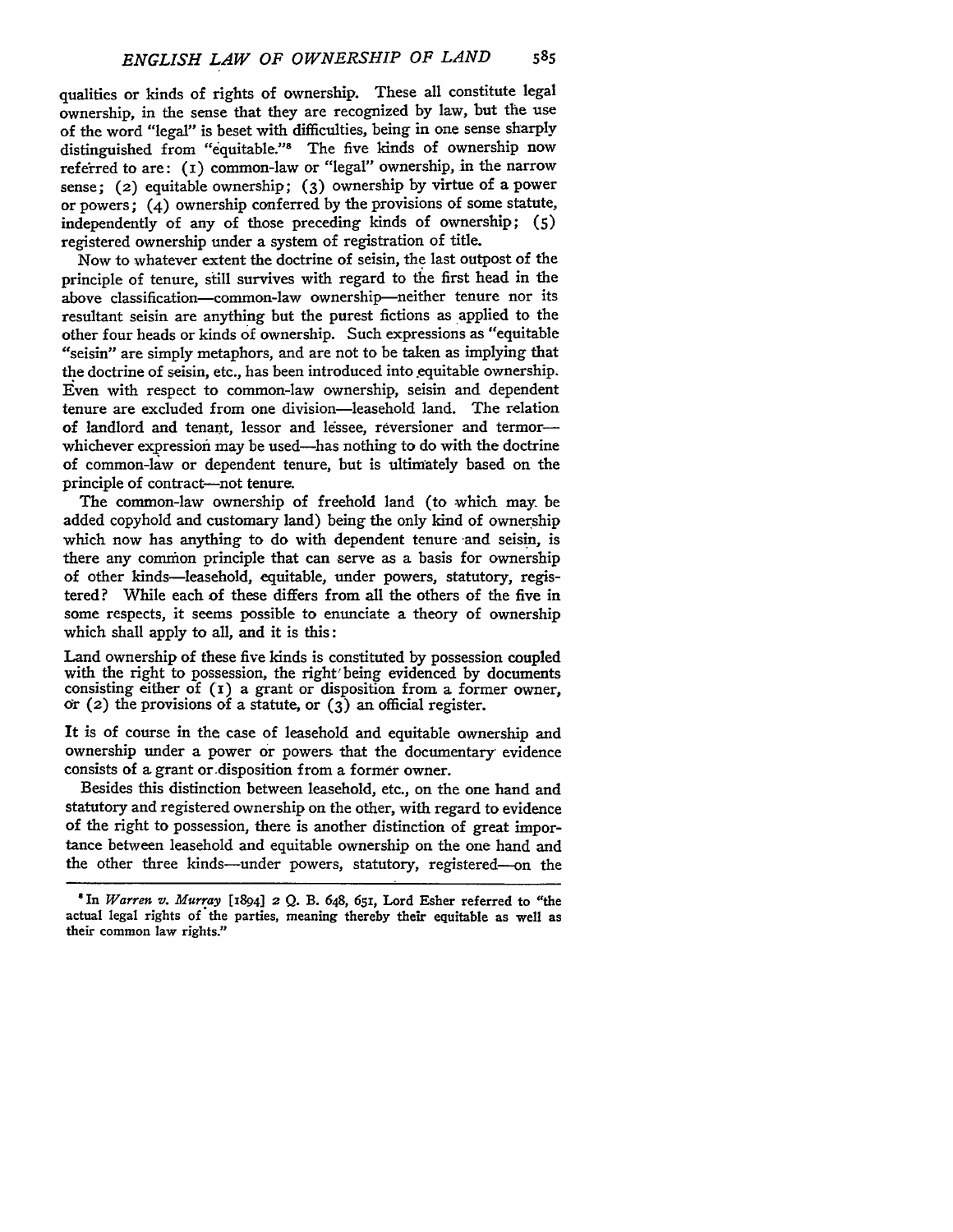qualities or kinds of rights of ownership. These all constitute legal ownership, in the sense that they are recognized by law, but the use of the word "legal" is beset with difficulties, being in one sense sharply distinguished from "equitable."<sup>8</sup> The five kinds of ownership now referred to are: (i) common-law or "legal" ownership, in the narrow sense; (2) equitable ownership; **(3)** ownership by virtue of a power or powers; (4) ownership conferred by the provisions of some statute, independently of any of those preceding kinds of ownership; **(5)** registered ownership under a system of registration of title.

Now to whatever extent the doctrine of seisin, the last outpost of the principle of tenure, still survives with regard to the first head in the above classification-common-law ownership-neither tenure nor its resultant seisin are anything but the purest fictions as applied to the other four heads or kinds of ownership. Such expressions as "equitable "seisin" are simply metaphors, and are not to be taken as implying that the doctrine of seisin, etc., has been introduced into equitable ownership. Even with respect to common-law ownership, seisin and dependent tenure are excluded from one division-leasehold land. The relation of landlord and tenant, lessor and lessee, reversioner and termorwhichever expression may be used—has nothing to do with the doctrine of common-law or dependent tenure, but is ultimately based on the principle of contract-not tenure.

The common-law ownership of freehold land (to which may. be added copyhold and customary land) being the only kind of ownership which now has anything to do with dependent tenure and seisin, is there any common principle that can serve as a basis for ownership of other kinds-leasehold, equitable, under powers, statutory, registered? While each of these differs from all the others of the five in some respects, it seems possible to enunciate a theory of ownership which shall apply to all, and it is this:

Land ownership of these five kinds is constituted by possession coupled with the right to possession, the right being evidenced by documents consisting either of (i) a grant or disposition from a former owner, or **(2)** the provisions of a statute, or **(3)** an official register.

It is of course in the case of leasehold and equitable ownership and ownership under a power or powers that the documentary evidence consists of a grant or disposition from a former owner.

Besides this distinction between leasehold, etc., on the one hand and statutory and registered ownership on the other, with regard to evidence of the right to possession, there is another distinction of great importance between leasehold and equitable ownership on the one hand and the other three kinds-under powers, statutory, registered--on the

*<sup>&</sup>quot;In Warren v. Murray* **[i894]** 2 Q. B. 648, 651, Lord Esher referred to "the actual legal rights of the parties, meaning thereby their equitable as well as their common law rights."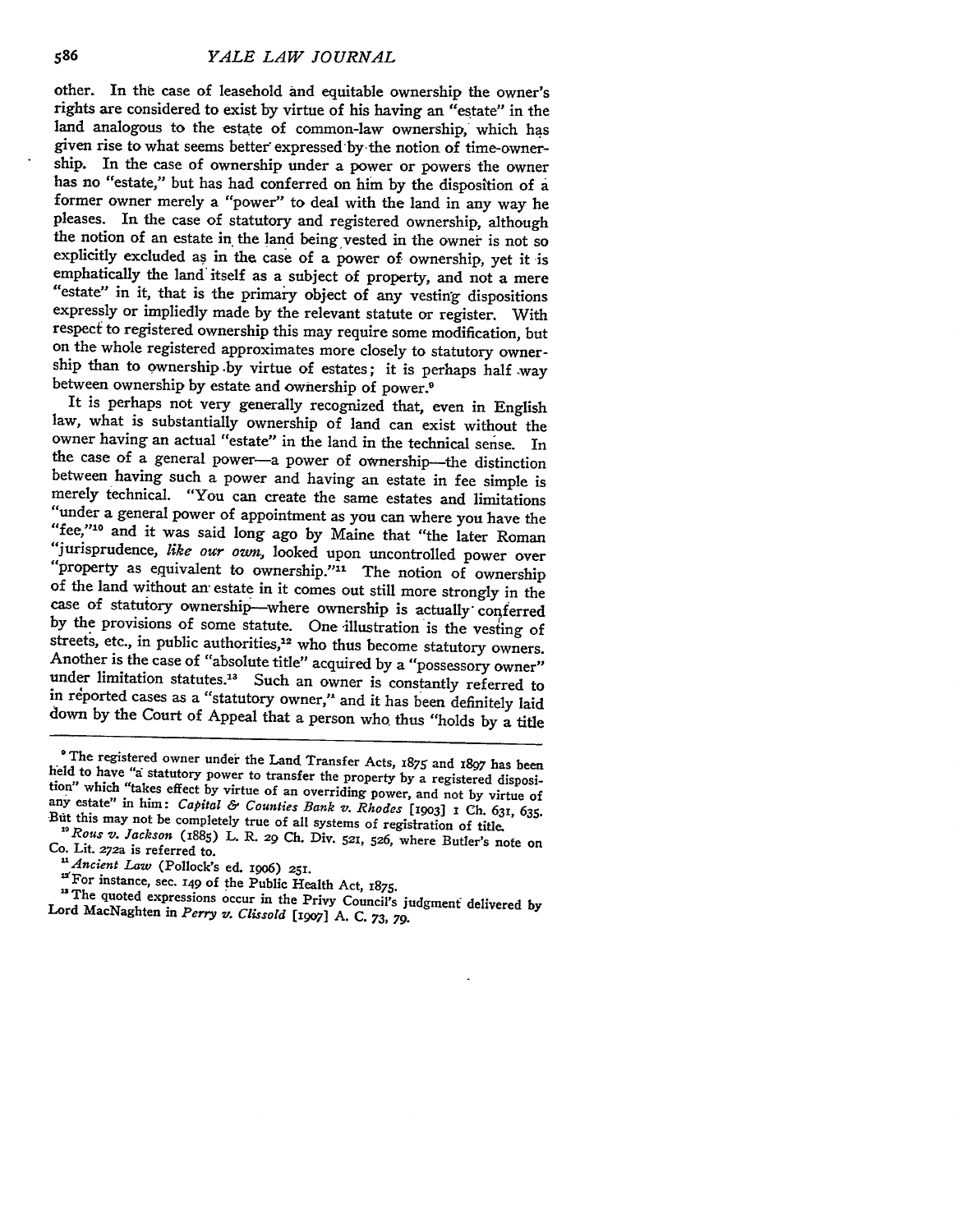other. In the case of leasehold and equitable ownership the owner's rights are considered to exist **by** virtue of his having an "estate" in the land analogous to the estate of common-law ownership, which has given rise to what seems bettef expressed by-the notion of time-ownership. In the case of ownership under a power or powers the owner has no "estate," but has had conferred on him by the disposition of a former owner merely a "power" to deal with the land in any way he pleases. In the case of statutory and registered ownership, although the notion of an explicitly excluded as in the case of a power of ownership, yet it is<br>emphatically the land itself as a subject of property, and not a mere<br>"estate" in it, that is the primary object of any vesting dispositions<br>expressly o respect to registered ownership this may require some modification, but on the whole registered approximates more closely to statutory owner-<br>ship than to ownership by virtue of estates; it is perhaps half way

between ownership by estate and ownership of power.<br>It is perhaps not very generally recognized that, even in English<br>law, what is substantially ownership of land can exist without the owner having an actual "estate" in the land in the technical sense. In the case of a general power-a power of ownership-the distinction between having such a power and having an estate in fee simple is merely technical. "You can create the same estates and limitations "under a general power of appointment as you can where you have the "fee,"<sup>10</sup> and it was said long ago by Maine that "the later Roman<br>"jurisprudence, like our oum, looked upon uncontrolled power over "property as equivalent to ownership."<sup>11</sup> The notion of ownership of the land without an-estate in it comes out still more strongly in the case of statutory ownership-where ownership is actually conferred by the provisions of some statute. One illustration is the vesting of streets, etc., in public authorities,<sup>12</sup> who thus become statutory owners. Another is the case of "absolute title" acquired by a "possessory owner" under limitation statutes.<sup>13</sup> Such an owner is constantly referred to in reported cases as a "statutory owner," and it has been definitely laid down by the Court of Appeal that a person who thus "holds by a title

<sup>&</sup>lt;sup>o</sup> The registered owner under the Land Transfer Acts, 1875 and 1897 has been<br>held to have "a statutory power to transfer the property by a registered disposi-<br>tion" which "takes effect by virtue of an overriding power, an any estate" in him: *Capital & Counties Bank v. Rhodes* [1903] I Ch. 631, 635.<br>But this may not be completely true of all systems of registration of title.<br><sup>10</sup> Rous v. Jackson (1885) L. R. 29 Ch. Div. 521, 526, where But

<sup>&</sup>lt;sup>12</sup> For instance, sec. 149 of the Public Health Act, 1875.

**<sup>&#</sup>x27;** The quoted expressions occur in the Privy Council's judgment delivered **by** Lord MacNaghten in *Perry vi. Clissold [i9o7]* **A. C. 73,** *79.*